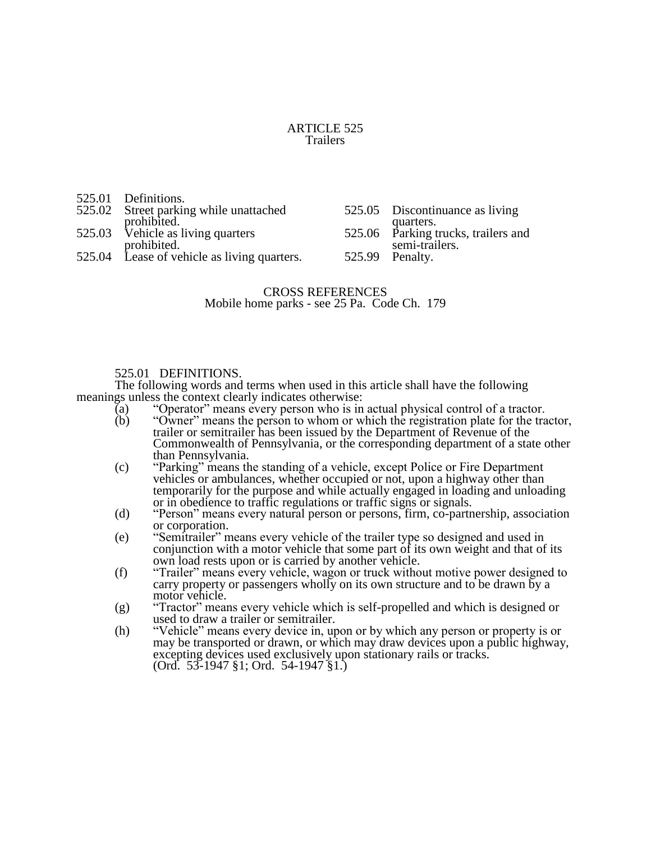#### ARTICLE 525 Trailers

| 525.01 Definitions.                                   |                                                                    |
|-------------------------------------------------------|--------------------------------------------------------------------|
| 525.02 Street parking while unattached<br>prohibited. | 525.05 Discontinuance as living                                    |
| 525.03 Vehicle as living quarters<br>prohibited.      | quarters.<br>525.06 Parking trucks, trailers and<br>semi-trailers. |
| 525.04 Lease of vehicle as living quarters.           | 525.99 Penalty.                                                    |

# CROSS REFERENCES Mobile home parks - see 25 Pa. Code Ch. 179

### 525.01 DEFINITIONS.

The following words and terms when used in this article shall have the following meanings unless the context clearly indicates otherwise:

- (a) "Operator" means every person who is in actual physical control of a tractor.<br>
(b) "Owner" means the person to whom or which the registration plate for the tra
- "Owner" means the person to whom or which the registration plate for the tractor, trailer or semitrailer has been issued by the Department of Revenue of the Commonwealth of Pennsylvania, or the corresponding department of a state other than Pennsylvania.
- (c) "Parking" means the standing of a vehicle, except Police or Fire Department vehicles or ambulances, whether occupied or not, upon a highway other than temporarily for the purpose and while actually engaged in loading and unloading or in obedience to traffic regulations or traffic signs or signals.
- (d) "Person" means every natural person or persons, firm, co-partnership, association or corporation.
- (e) "Semitrailer" means every vehicle of the trailer type so designed and used in conjunction with a motor vehicle that some part of its own weight and that of its own load rests upon or is carried by another vehicle.
- (f) "Trailer" means every vehicle, wagon or truck without motive power designed to carry property or passengers wholly on its own structure and to be drawn by a motor vehicle.
- (g) "Tractor" means every vehicle which is self-propelled and which is designed or used to draw a trailer or semitrailer.
- (h) "Vehicle" means every device in, upon or by which any person or property is or may be transported or drawn, or which may draw devices upon a public highway, excepting devices used exclusively upon stationary rails or tracks. (Ord. 53-1947 §1; Ord. 54-1947 §1.)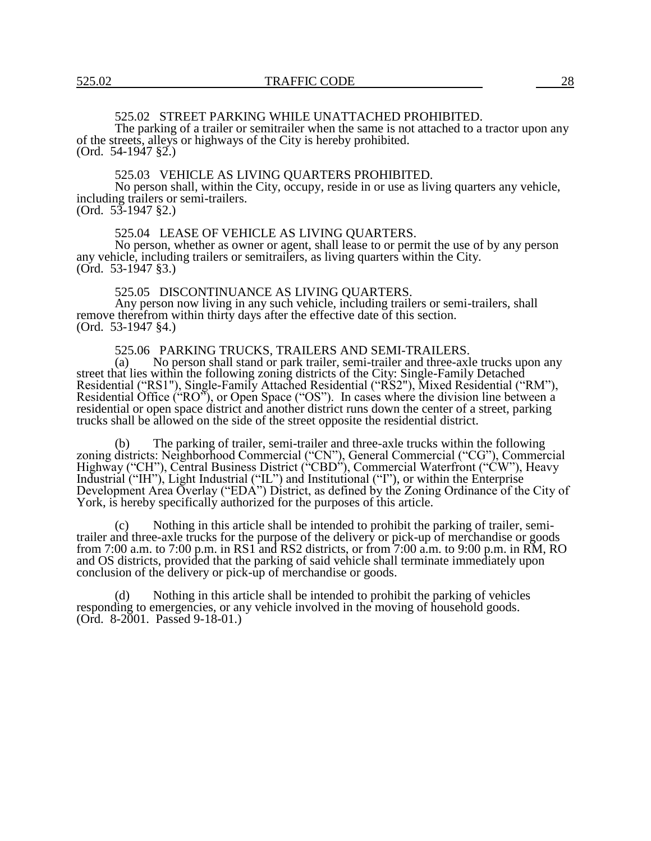# 525.02 STREET PARKING WHILE UNATTACHED PROHIBITED.

The parking of a trailer or semitrailer when the same is not attached to a tractor upon any of the streets, alleys or highways of the City is hereby prohibited. (Ord. 54-1947 §2.)

#### 525.03 VEHICLE AS LIVING QUARTERS PROHIBITED.

No person shall, within the City, occupy, reside in or use as living quarters any vehicle, including trailers or semi-trailers. (Ord. 53-1947 §2.)

#### 525.04 LEASE OF VEHICLE AS LIVING QUARTERS.

No person, whether as owner or agent, shall lease to or permit the use of by any person any vehicle, including trailers or semitrailers, as living quarters within the City. (Ord. 53-1947 §3.)

#### 525.05 DISCONTINUANCE AS LIVING QUARTERS.

Any person now living in any such vehicle, including trailers or semi-trailers, shall remove therefrom within thirty days after the effective date of this section. (Ord. 53-1947 §4.)

# 525.06 PARKING TRUCKS, TRAILERS AND SEMI-TRAILERS.<br>(a) No person shall stand or park trailer, semi-trailer and three-axl

No person shall stand or park trailer, semi-trailer and three-axle trucks upon any street that lies within the following zoning districts of the City: Single-Family Detached Residential ("RS1"), Single-Family Attached Residential ("RS2"), Mixed Residential ("RM"), Residential Office ("RO"), or Open Space ("OS"). In cases where the division line between a residential or open space district and another district runs down the center of a street, parking trucks shall be allowed on the side of the street opposite the residential district.

(b) The parking of trailer, semi-trailer and three-axle trucks within the following zoning districts: Neighborhood Commercial ("CN"), General Commercial ("CG"), Commercial Highway ("CH"), Central Business District ("CBD"), Commercial Waterfront ("CW"), Heavy Industrial ("IH"), Light Industrial ("IL") and Institutional ("I"), or within the Enterprise Development Area Overlay ("EDA") District, as defined by the Zoning Ordinance of the City of York, is hereby specifically authorized for the purposes of this article.

(c) Nothing in this article shall be intended to prohibit the parking of trailer, semitrailer and three-axle trucks for the purpose of the delivery or pick-up of merchandise or goods from 7:00 a.m. to 7:00 p.m. in RS1 and RS2 districts, or from 7:00 a.m. to 9:00 p.m. in RM, RO and OS districts, provided that the parking of said vehicle shall terminate immediately upon conclusion of the delivery or pick-up of merchandise or goods.

(d) Nothing in this article shall be intended to prohibit the parking of vehicles responding to emergencies, or any vehicle involved in the moving of household goods. (Ord. 8-2001. Passed 9-18-01.)